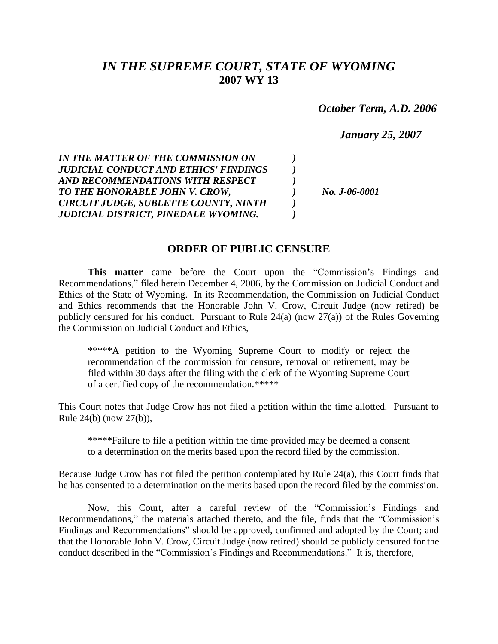# *IN THE SUPREME COURT, STATE OF WYOMING* **2007 WY 13**

 *October Term, A.D. 2006*

*January 25, 2007*

*IN THE MATTER OF THE COMMISSION ON ) JUDICIAL CONDUCT AND ETHICS' FINDINGS ) AND RECOMMENDATIONS WITH RESPECT ) TO THE HONORABLE JOHN V. CROW, ) No. J-06-0001 CIRCUIT JUDGE, SUBLETTE COUNTY, NINTH ) JUDICIAL DISTRICT, PINEDALE WYOMING. )*

### **ORDER OF PUBLIC CENSURE**

**This matter** came before the Court upon the "Commission's Findings and Recommendations," filed herein December 4, 2006, by the Commission on Judicial Conduct and Ethics of the State of Wyoming. In its Recommendation, the Commission on Judicial Conduct and Ethics recommends that the Honorable John V. Crow, Circuit Judge (now retired) be publicly censured for his conduct. Pursuant to Rule 24(a) (now 27(a)) of the Rules Governing the Commission on Judicial Conduct and Ethics,

\*\*\*\*\*A petition to the Wyoming Supreme Court to modify or reject the recommendation of the commission for censure, removal or retirement, may be filed within 30 days after the filing with the clerk of the Wyoming Supreme Court of a certified copy of the recommendation.\*\*\*\*\*

This Court notes that Judge Crow has not filed a petition within the time allotted. Pursuant to Rule 24(b) (now 27(b)),

\*\*\*\*\*Failure to file a petition within the time provided may be deemed a consent to a determination on the merits based upon the record filed by the commission.

Because Judge Crow has not filed the petition contemplated by Rule 24(a), this Court finds that he has consented to a determination on the merits based upon the record filed by the commission.

Now, this Court, after a careful review of the "Commission's Findings and Recommendations," the materials attached thereto, and the file, finds that the "Commission's Findings and Recommendations" should be approved, confirmed and adopted by the Court; and that the Honorable John V. Crow, Circuit Judge (now retired) should be publicly censured for the conduct described in the "Commission's Findings and Recommendations." It is, therefore,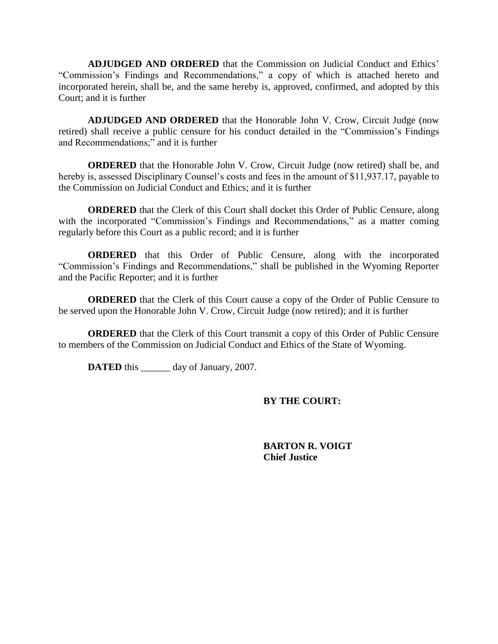**ADJUDGED AND ORDERED** that the Commission on Judicial Conduct and Ethics' "Commission's Findings and Recommendations," a copy of which is attached hereto and incorporated herein, shall be, and the same hereby is, approved, confirmed, and adopted by this Court; and it is further

**ADJUDGED AND ORDERED** that the Honorable John V. Crow, Circuit Judge (now retired) shall receive a public censure for his conduct detailed in the "Commission's Findings and Recommendations;" and it is further

**ORDERED** that the Honorable John V. Crow, Circuit Judge (now retired) shall be, and hereby is, assessed Disciplinary Counsel's costs and fees in the amount of \$11,937.17, payable to the Commission on Judicial Conduct and Ethics; and it is further

**ORDERED** that the Clerk of this Court shall docket this Order of Public Censure, along with the incorporated "Commission's Findings and Recommendations," as a matter coming regularly before this Court as a public record; and it is further

**ORDERED** that this Order of Public Censure, along with the incorporated "Commission's Findings and Recommendations," shall be published in the Wyoming Reporter and the Pacific Reporter; and it is further

**ORDERED** that the Clerk of this Court cause a copy of the Order of Public Censure to be served upon the Honorable John V. Crow, Circuit Judge (now retired); and it is further

**ORDERED** that the Clerk of this Court transmit a copy of this Order of Public Censure to members of the Commission on Judicial Conduct and Ethics of the State of Wyoming.

**DATED** this day of January, 2007.

#### **BY THE COURT:**

**BARTON R. VOIGT Chief Justice**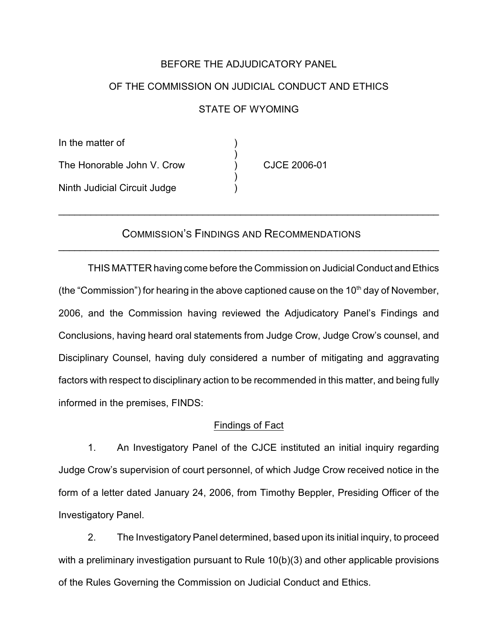## BEFORE THE ADJUDICATORY PANEL

# OF THE COMMISSION ON JUDICIAL CONDUCT AND ETHICS STATE OF WYOMING

In the matter of ) The Honorable John V. Crow (a) CJCE 2006-01 Ninth Judicial Circuit Judge )

## COMMISSION'S FINDINGS AND RECOMMENDATIONS

\_\_\_\_\_\_\_\_\_\_\_\_\_\_\_\_\_\_\_\_\_\_\_\_\_\_\_\_\_\_\_\_\_\_\_\_\_\_\_\_\_\_\_\_\_\_\_\_\_\_\_\_\_\_\_\_\_\_\_\_\_\_\_\_\_\_\_\_\_\_\_

\_\_\_\_\_\_\_\_\_\_\_\_\_\_\_\_\_\_\_\_\_\_\_\_\_\_\_\_\_\_\_\_\_\_\_\_\_\_\_\_\_\_\_\_\_\_\_\_\_\_\_\_\_\_\_\_\_\_\_\_\_\_\_\_\_\_\_\_\_\_\_

)

)

THIS MATTER having come before the Commission on Judicial Conduct and Ethics (the "Commission") for hearing in the above captioned cause on the 10<sup>th</sup> day of November, 2006, and the Commission having reviewed the Adjudicatory Panel's Findings and Conclusions, having heard oral statements from Judge Crow, Judge Crow's counsel, and Disciplinary Counsel, having duly considered a number of mitigating and aggravating factors with respect to disciplinary action to be recommended in this matter, and being fully informed in the premises, FINDS:

### Findings of Fact

1. An Investigatory Panel of the CJCE instituted an initial inquiry regarding Judge Crow's supervision of court personnel, of which Judge Crow received notice in the form of a letter dated January 24, 2006, from Timothy Beppler, Presiding Officer of the Investigatory Panel.

2. The Investigatory Panel determined, based upon its initial inquiry, to proceed with a preliminary investigation pursuant to Rule 10(b)(3) and other applicable provisions of the Rules Governing the Commission on Judicial Conduct and Ethics.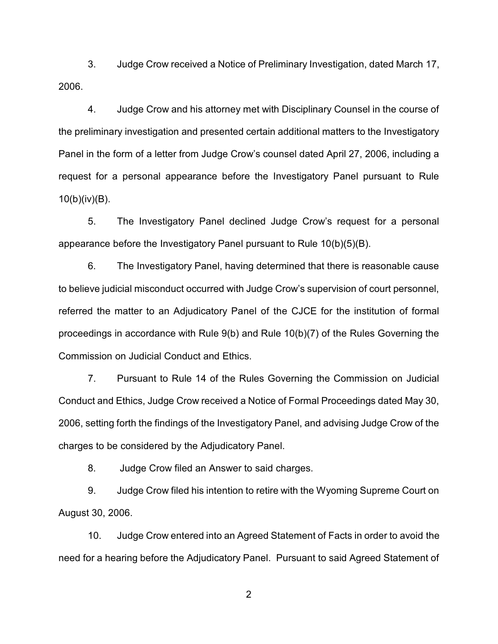3. Judge Crow received a Notice of Preliminary Investigation, dated March 17, 2006.

4. Judge Crow and his attorney met with Disciplinary Counsel in the course of the preliminary investigation and presented certain additional matters to the Investigatory Panel in the form of a letter from Judge Crow's counsel dated April 27, 2006, including a request for a personal appearance before the Investigatory Panel pursuant to Rule 10(b)(iv)(B).

5. The Investigatory Panel declined Judge Crow's request for a personal appearance before the Investigatory Panel pursuant to Rule 10(b)(5)(B).

6. The Investigatory Panel, having determined that there is reasonable cause to believe judicial misconduct occurred with Judge Crow's supervision of court personnel, referred the matter to an Adjudicatory Panel of the CJCE for the institution of formal proceedings in accordance with Rule 9(b) and Rule 10(b)(7) of the Rules Governing the Commission on Judicial Conduct and Ethics.

7. Pursuant to Rule 14 of the Rules Governing the Commission on Judicial Conduct and Ethics, Judge Crow received a Notice of Formal Proceedings dated May 30, 2006, setting forth the findings of the Investigatory Panel, and advising Judge Crow of the charges to be considered by the Adjudicatory Panel.

8. Judge Crow filed an Answer to said charges.

9. Judge Crow filed his intention to retire with the Wyoming Supreme Court on August 30, 2006.

10. Judge Crow entered into an Agreed Statement of Facts in order to avoid the need for a hearing before the Adjudicatory Panel. Pursuant to said Agreed Statement of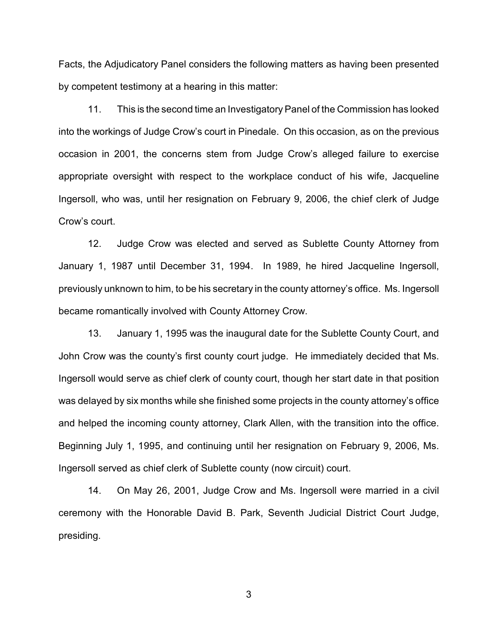Facts, the Adjudicatory Panel considers the following matters as having been presented by competent testimony at a hearing in this matter:

11. This is the second time an Investigatory Panel of the Commission has looked into the workings of Judge Crow's court in Pinedale. On this occasion, as on the previous occasion in 2001, the concerns stem from Judge Crow's alleged failure to exercise appropriate oversight with respect to the workplace conduct of his wife, Jacqueline Ingersoll, who was, until her resignation on February 9, 2006, the chief clerk of Judge Crow's court.

12. Judge Crow was elected and served as Sublette County Attorney from January 1, 1987 until December 31, 1994. In 1989, he hired Jacqueline Ingersoll, previously unknown to him, to be his secretary in the county attorney's office. Ms. Ingersoll became romantically involved with County Attorney Crow.

13. January 1, 1995 was the inaugural date for the Sublette County Court, and John Crow was the county's first county court judge. He immediately decided that Ms. Ingersoll would serve as chief clerk of county court, though her start date in that position was delayed by six months while she finished some projects in the county attorney's office and helped the incoming county attorney, Clark Allen, with the transition into the office. Beginning July 1, 1995, and continuing until her resignation on February 9, 2006, Ms. Ingersoll served as chief clerk of Sublette county (now circuit) court.

14. On May 26, 2001, Judge Crow and Ms. Ingersoll were married in a civil ceremony with the Honorable David B. Park, Seventh Judicial District Court Judge, presiding.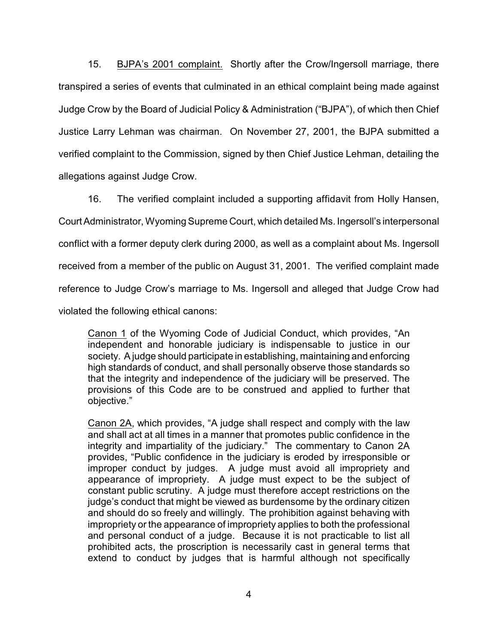15. BJPA's 2001 complaint. Shortly after the Crow/Ingersoll marriage, there transpired a series of events that culminated in an ethical complaint being made against Judge Crow by the Board of Judicial Policy & Administration ("BJPA"), of which then Chief Justice Larry Lehman was chairman. On November 27, 2001, the BJPA submitted a verified complaint to the Commission, signed by then Chief Justice Lehman, detailing the allegations against Judge Crow.

16. The verified complaint included a supporting affidavit from Holly Hansen, Court Administrator, Wyoming Supreme Court, which detailed Ms. Ingersoll's interpersonal conflict with a former deputy clerk during 2000, as well as a complaint about Ms. Ingersoll received from a member of the public on August 31, 2001. The verified complaint made reference to Judge Crow's marriage to Ms. Ingersoll and alleged that Judge Crow had violated the following ethical canons:

Canon 1 of the Wyoming Code of Judicial Conduct, which provides, "An independent and honorable judiciary is indispensable to justice in our society. A judge should participate in establishing, maintaining and enforcing high standards of conduct, and shall personally observe those standards so that the integrity and independence of the judiciary will be preserved. The provisions of this Code are to be construed and applied to further that objective."

Canon 2A, which provides, "A judge shall respect and comply with the law and shall act at all times in a manner that promotes public confidence in the integrity and impartiality of the judiciary." The commentary to Canon 2A provides, "Public confidence in the judiciary is eroded by irresponsible or improper conduct by judges. A judge must avoid all impropriety and appearance of impropriety. A judge must expect to be the subject of constant public scrutiny. A judge must therefore accept restrictions on the judge's conduct that might be viewed as burdensome by the ordinary citizen and should do so freely and willingly. The prohibition against behaving with impropriety or the appearance of impropriety applies to both the professional and personal conduct of a judge. Because it is not practicable to list all prohibited acts, the proscription is necessarily cast in general terms that extend to conduct by judges that is harmful although not specifically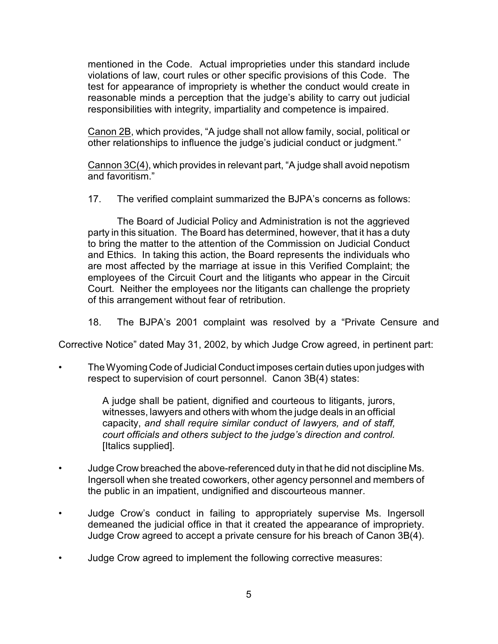mentioned in the Code. Actual improprieties under this standard include violations of law, court rules or other specific provisions of this Code. The test for appearance of impropriety is whether the conduct would create in reasonable minds a perception that the judge's ability to carry out judicial responsibilities with integrity, impartiality and competence is impaired.

Canon 2B, which provides, "A judge shall not allow family, social, political or other relationships to influence the judge's judicial conduct or judgment."

Cannon 3C(4), which provides in relevant part, "A judge shall avoid nepotism and favoritism."

17. The verified complaint summarized the BJPA's concerns as follows:

The Board of Judicial Policy and Administration is not the aggrieved party in this situation. The Board has determined, however, that it has a duty to bring the matter to the attention of the Commission on Judicial Conduct and Ethics. In taking this action, the Board represents the individuals who are most affected by the marriage at issue in this Verified Complaint; the employees of the Circuit Court and the litigants who appear in the Circuit Court. Neither the employees nor the litigants can challenge the propriety of this arrangement without fear of retribution.

18. The BJPA's 2001 complaint was resolved by a "Private Censure and

Corrective Notice" dated May 31, 2002, by which Judge Crow agreed, in pertinent part:

• The Wyoming Code of Judicial Conduct imposes certain duties upon judges with respect to supervision of court personnel. Canon 3B(4) states:

> A judge shall be patient, dignified and courteous to litigants, jurors, witnesses, lawyers and others with whom the judge deals in an official capacity, *and shall require similar conduct of lawyers, and of staff, court officials and others subject to the judge's direction and control.* [Italics supplied].

- Judge Crow breached the above-referenced duty in that he did not discipline Ms. Ingersoll when she treated coworkers, other agency personnel and members of the public in an impatient, undignified and discourteous manner.
- Judge Crow's conduct in failing to appropriately supervise Ms. Ingersoll demeaned the judicial office in that it created the appearance of impropriety. Judge Crow agreed to accept a private censure for his breach of Canon 3B(4).
- Judge Crow agreed to implement the following corrective measures: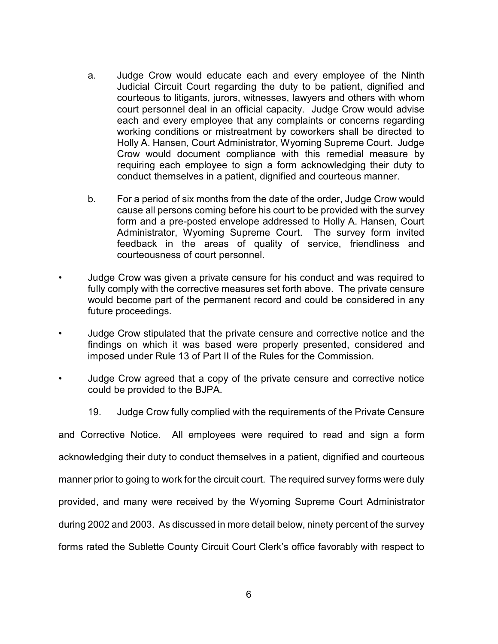- a. Judge Crow would educate each and every employee of the Ninth Judicial Circuit Court regarding the duty to be patient, dignified and courteous to litigants, jurors, witnesses, lawyers and others with whom court personnel deal in an official capacity. Judge Crow would advise each and every employee that any complaints or concerns regarding working conditions or mistreatment by coworkers shall be directed to Holly A. Hansen, Court Administrator, Wyoming Supreme Court. Judge Crow would document compliance with this remedial measure by requiring each employee to sign a form acknowledging their duty to conduct themselves in a patient, dignified and courteous manner.
- b. For a period of six months from the date of the order, Judge Crow would cause all persons coming before his court to be provided with the survey form and a pre-posted envelope addressed to Holly A. Hansen, Court Administrator, Wyoming Supreme Court. The survey form invited feedback in the areas of quality of service, friendliness and courteousness of court personnel.
- Judge Crow was given a private censure for his conduct and was required to fully comply with the corrective measures set forth above. The private censure would become part of the permanent record and could be considered in any future proceedings.
- Judge Crow stipulated that the private censure and corrective notice and the findings on which it was based were properly presented, considered and imposed under Rule 13 of Part II of the Rules for the Commission.
- Judge Crow agreed that a copy of the private censure and corrective notice could be provided to the BJPA.
	- 19. Judge Crow fully complied with the requirements of the Private Censure

and Corrective Notice. All employees were required to read and sign a form acknowledging their duty to conduct themselves in a patient, dignified and courteous manner prior to going to work for the circuit court. The required survey forms were duly provided, and many were received by the Wyoming Supreme Court Administrator during 2002 and 2003. As discussed in more detail below, ninety percent of the survey forms rated the Sublette County Circuit Court Clerk's office favorably with respect to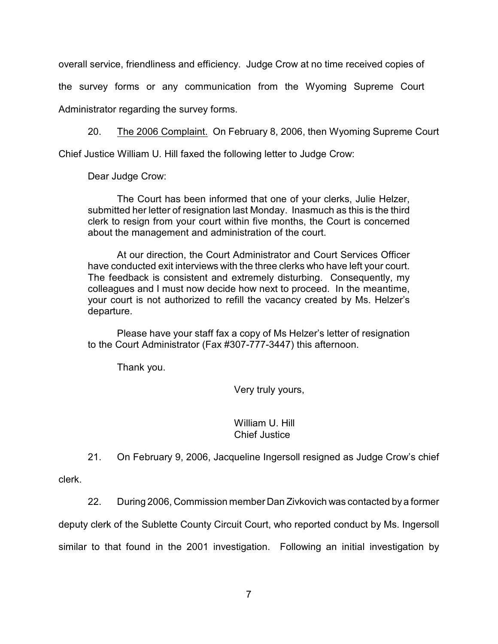overall service, friendliness and efficiency. Judge Crow at no time received copies of the survey forms or any communication from the Wyoming Supreme Court Administrator regarding the survey forms.

20. The 2006 Complaint. On February 8, 2006, then Wyoming Supreme Court

Chief Justice William U. Hill faxed the following letter to Judge Crow:

Dear Judge Crow:

The Court has been informed that one of your clerks, Julie Helzer, submitted her letter of resignation last Monday. Inasmuch as this is the third clerk to resign from your court within five months, the Court is concerned about the management and administration of the court.

At our direction, the Court Administrator and Court Services Officer have conducted exit interviews with the three clerks who have left your court. The feedback is consistent and extremely disturbing. Consequently, my colleagues and I must now decide how next to proceed. In the meantime, your court is not authorized to refill the vacancy created by Ms. Helzer's departure.

Please have your staff fax a copy of Ms Helzer's letter of resignation to the Court Administrator (Fax #307-777-3447) this afternoon.

Thank you.

Very truly yours,

#### William U. Hill Chief Justice

21. On February 9, 2006, Jacqueline Ingersoll resigned as Judge Crow's chief

clerk.

22. During 2006, Commission member Dan Zivkovich was contacted by a former

deputy clerk of the Sublette County Circuit Court, who reported conduct by Ms. Ingersoll

similar to that found in the 2001 investigation. Following an initial investigation by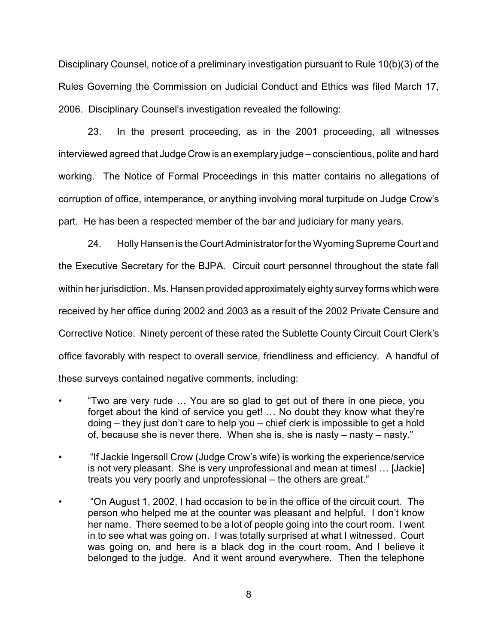Disciplinary Counsel, notice of a preliminary investigation pursuant to Rule 10(b)(3) of the Rules Governing the Commission on Judicial Conduct and Ethics was filed March 17, 2006. Disciplinary Counsel's investigation revealed the following:

23. In the present proceeding, as in the 2001 proceeding, all witnesses interviewed agreed that Judge Crow is an exemplary judge – conscientious, polite and hard working. The Notice of Formal Proceedings in this matter contains no allegations of corruption of office, intemperance, or anything involving moral turpitude on Judge Crow's part. He has been a respected member of the bar and judiciary for many years.

24. Holly Hansen is the Court Administrator for the Wyoming Supreme Court and the Executive Secretary for the BJPA. Circuit court personnel throughout the state fall within her jurisdiction. Ms. Hansen provided approximately eighty survey forms which were received by her office during 2002 and 2003 as a result of the 2002 Private Censure and Corrective Notice. Ninety percent of these rated the Sublette County Circuit Court Clerk's office favorably with respect to overall service, friendliness and efficiency. A handful of these surveys contained negative comments, including:

- "Two are very rude … You are so glad to get out of there in one piece, you forget about the kind of service you get! … No doubt they know what they're doing – they just don't care to help you – chief clerk is impossible to get a hold of, because she is never there. When she is, she is nasty – nasty – nasty."
- "If Jackie Ingersoll Crow (Judge Crow's wife) is working the experience/service is not very pleasant. She is very unprofessional and mean at times! … [Jackie] treats you very poorly and unprofessional – the others are great."
- "On August 1, 2002, I had occasion to be in the office of the circuit court. The person who helped me at the counter was pleasant and helpful. I don't know her name. There seemed to be a lot of people going into the court room. I went in to see what was going on. I was totally surprised at what I witnessed. Court was going on, and here is a black dog in the court room. And I believe it belonged to the judge. And it went around everywhere. Then the telephone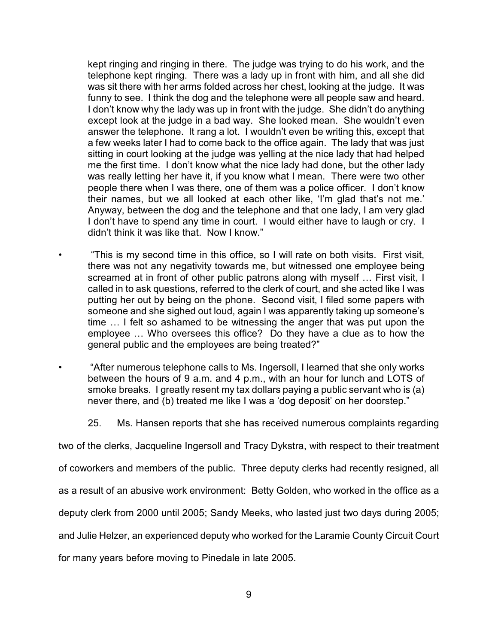kept ringing and ringing in there. The judge was trying to do his work, and the telephone kept ringing. There was a lady up in front with him, and all she did was sit there with her arms folded across her chest, looking at the judge. It was funny to see. I think the dog and the telephone were all people saw and heard. I don't know why the lady was up in front with the judge. She didn't do anything except look at the judge in a bad way. She looked mean. She wouldn't even answer the telephone. It rang a lot. I wouldn't even be writing this, except that a few weeks later I had to come back to the office again. The lady that was just sitting in court looking at the judge was yelling at the nice lady that had helped me the first time. I don't know what the nice lady had done, but the other lady was really letting her have it, if you know what I mean. There were two other people there when I was there, one of them was a police officer. I don't know their names, but we all looked at each other like, 'I'm glad that's not me.' Anyway, between the dog and the telephone and that one lady, I am very glad I don't have to spend any time in court. I would either have to laugh or cry. I didn't think it was like that. Now I know."

• "This is my second time in this office, so I will rate on both visits. First visit, there was not any negativity towards me, but witnessed one employee being screamed at in front of other public patrons along with myself ... First visit, I called in to ask questions, referred to the clerk of court, and she acted like I was putting her out by being on the phone. Second visit, I filed some papers with someone and she sighed out loud, again I was apparently taking up someone's time … I felt so ashamed to be witnessing the anger that was put upon the employee … Who oversees this office? Do they have a clue as to how the general public and the employees are being treated?"

• "After numerous telephone calls to Ms. Ingersoll, I learned that she only works between the hours of 9 a.m. and 4 p.m., with an hour for lunch and LOTS of smoke breaks. I greatly resent my tax dollars paying a public servant who is (a) never there, and (b) treated me like I was a 'dog deposit' on her doorstep."

25. Ms. Hansen reports that she has received numerous complaints regarding

two of the clerks, Jacqueline Ingersoll and Tracy Dykstra, with respect to their treatment

of coworkers and members of the public. Three deputy clerks had recently resigned, all

as a result of an abusive work environment: Betty Golden, who worked in the office as a

deputy clerk from 2000 until 2005; Sandy Meeks, who lasted just two days during 2005;

and Julie Helzer, an experienced deputy who worked for the Laramie County Circuit Court

for many years before moving to Pinedale in late 2005.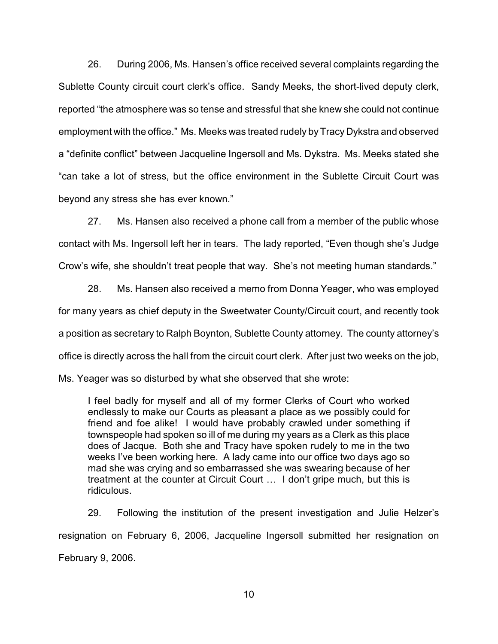26. During 2006, Ms. Hansen's office received several complaints regarding the Sublette County circuit court clerk's office. Sandy Meeks, the short-lived deputy clerk, reported "the atmosphere was so tense and stressful that she knew she could not continue employment with the office." Ms. Meeks was treated rudely by Tracy Dykstra and observed a "definite conflict" between Jacqueline Ingersoll and Ms. Dykstra. Ms. Meeks stated she "can take a lot of stress, but the office environment in the Sublette Circuit Court was beyond any stress she has ever known."

27. Ms. Hansen also received a phone call from a member of the public whose contact with Ms. Ingersoll left her in tears. The lady reported, "Even though she's Judge Crow's wife, she shouldn't treat people that way. She's not meeting human standards."

28. Ms. Hansen also received a memo from Donna Yeager, who was employed for many years as chief deputy in the Sweetwater County/Circuit court, and recently took a position as secretary to Ralph Boynton, Sublette County attorney. The county attorney's office is directly across the hall from the circuit court clerk. After just two weeks on the job,

Ms. Yeager was so disturbed by what she observed that she wrote:

I feel badly for myself and all of my former Clerks of Court who worked endlessly to make our Courts as pleasant a place as we possibly could for friend and foe alike! I would have probably crawled under something if townspeople had spoken so ill of me during my years as a Clerk as this place does of Jacque. Both she and Tracy have spoken rudely to me in the two weeks I've been working here. A lady came into our office two days ago so mad she was crying and so embarrassed she was swearing because of her treatment at the counter at Circuit Court … I don't gripe much, but this is ridiculous.

29. Following the institution of the present investigation and Julie Helzer's resignation on February 6, 2006, Jacqueline Ingersoll submitted her resignation on February 9, 2006.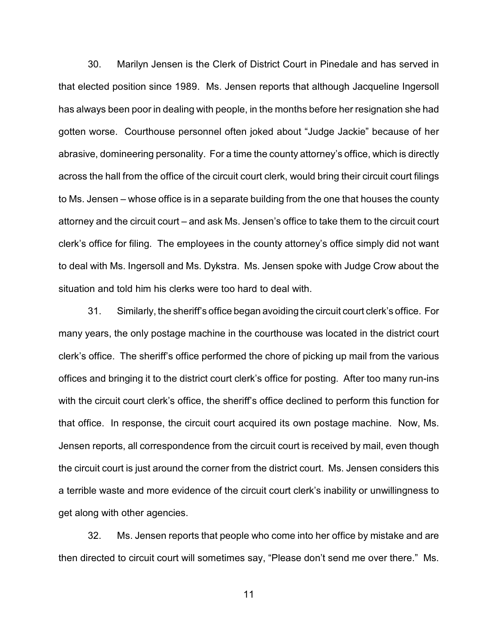30. Marilyn Jensen is the Clerk of District Court in Pinedale and has served in that elected position since 1989. Ms. Jensen reports that although Jacqueline Ingersoll has always been poor in dealing with people, in the months before her resignation she had gotten worse. Courthouse personnel often joked about "Judge Jackie" because of her abrasive, domineering personality. For a time the county attorney's office, which is directly across the hall from the office of the circuit court clerk, would bring their circuit court filings to Ms. Jensen – whose office is in a separate building from the one that houses the county attorney and the circuit court – and ask Ms. Jensen's office to take them to the circuit court clerk's office for filing. The employees in the county attorney's office simply did not want to deal with Ms. Ingersoll and Ms. Dykstra. Ms. Jensen spoke with Judge Crow about the situation and told him his clerks were too hard to deal with.

31. Similarly, the sheriff's office began avoiding the circuit court clerk's office. For many years, the only postage machine in the courthouse was located in the district court clerk's office. The sheriff's office performed the chore of picking up mail from the various offices and bringing it to the district court clerk's office for posting. After too many run-ins with the circuit court clerk's office, the sheriff's office declined to perform this function for that office. In response, the circuit court acquired its own postage machine. Now, Ms. Jensen reports, all correspondence from the circuit court is received by mail, even though the circuit court is just around the corner from the district court. Ms. Jensen considers this a terrible waste and more evidence of the circuit court clerk's inability or unwillingness to get along with other agencies.

32. Ms. Jensen reports that people who come into her office by mistake and are then directed to circuit court will sometimes say, "Please don't send me over there." Ms.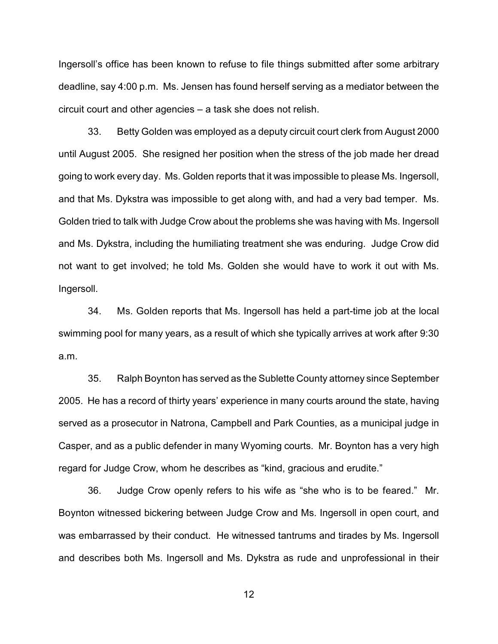Ingersoll's office has been known to refuse to file things submitted after some arbitrary deadline, say 4:00 p.m. Ms. Jensen has found herself serving as a mediator between the circuit court and other agencies – a task she does not relish.

33. Betty Golden was employed as a deputy circuit court clerk from August 2000 until August 2005. She resigned her position when the stress of the job made her dread going to work every day. Ms. Golden reports that it was impossible to please Ms. Ingersoll, and that Ms. Dykstra was impossible to get along with, and had a very bad temper. Ms. Golden tried to talk with Judge Crow about the problems she was having with Ms. Ingersoll and Ms. Dykstra, including the humiliating treatment she was enduring. Judge Crow did not want to get involved; he told Ms. Golden she would have to work it out with Ms. Ingersoll.

34. Ms. Golden reports that Ms. Ingersoll has held a part-time job at the local swimming pool for many years, as a result of which she typically arrives at work after 9:30 a.m.

35. Ralph Boynton has served as the Sublette County attorney since September 2005. He has a record of thirty years' experience in many courts around the state, having served as a prosecutor in Natrona, Campbell and Park Counties, as a municipal judge in Casper, and as a public defender in many Wyoming courts. Mr. Boynton has a very high regard for Judge Crow, whom he describes as "kind, gracious and erudite."

36. Judge Crow openly refers to his wife as "she who is to be feared." Mr. Boynton witnessed bickering between Judge Crow and Ms. Ingersoll in open court, and was embarrassed by their conduct. He witnessed tantrums and tirades by Ms. Ingersoll and describes both Ms. Ingersoll and Ms. Dykstra as rude and unprofessional in their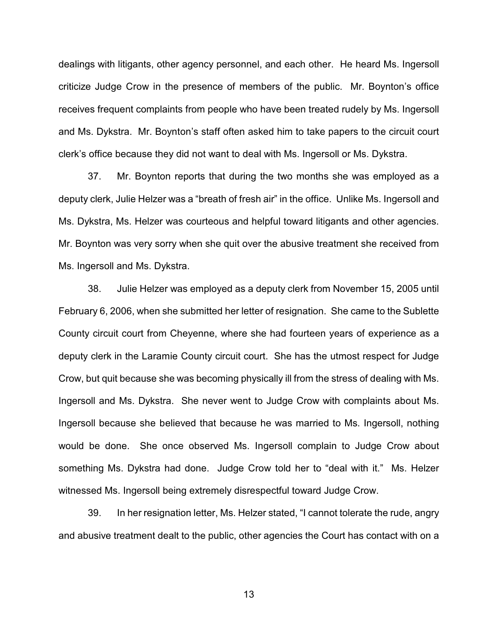dealings with litigants, other agency personnel, and each other. He heard Ms. Ingersoll criticize Judge Crow in the presence of members of the public. Mr. Boynton's office receives frequent complaints from people who have been treated rudely by Ms. Ingersoll and Ms. Dykstra. Mr. Boynton's staff often asked him to take papers to the circuit court clerk's office because they did not want to deal with Ms. Ingersoll or Ms. Dykstra.

37. Mr. Boynton reports that during the two months she was employed as a deputy clerk, Julie Helzer was a "breath of fresh air" in the office. Unlike Ms. Ingersoll and Ms. Dykstra, Ms. Helzer was courteous and helpful toward litigants and other agencies. Mr. Boynton was very sorry when she quit over the abusive treatment she received from Ms. Ingersoll and Ms. Dykstra.

38. Julie Helzer was employed as a deputy clerk from November 15, 2005 until February 6, 2006, when she submitted her letter of resignation. She came to the Sublette County circuit court from Cheyenne, where she had fourteen years of experience as a deputy clerk in the Laramie County circuit court. She has the utmost respect for Judge Crow, but quit because she was becoming physically ill from the stress of dealing with Ms. Ingersoll and Ms. Dykstra. She never went to Judge Crow with complaints about Ms. Ingersoll because she believed that because he was married to Ms. Ingersoll, nothing would be done. She once observed Ms. Ingersoll complain to Judge Crow about something Ms. Dykstra had done. Judge Crow told her to "deal with it." Ms. Helzer witnessed Ms. Ingersoll being extremely disrespectful toward Judge Crow.

39. In her resignation letter, Ms. Helzer stated, "I cannot tolerate the rude, angry and abusive treatment dealt to the public, other agencies the Court has contact with on a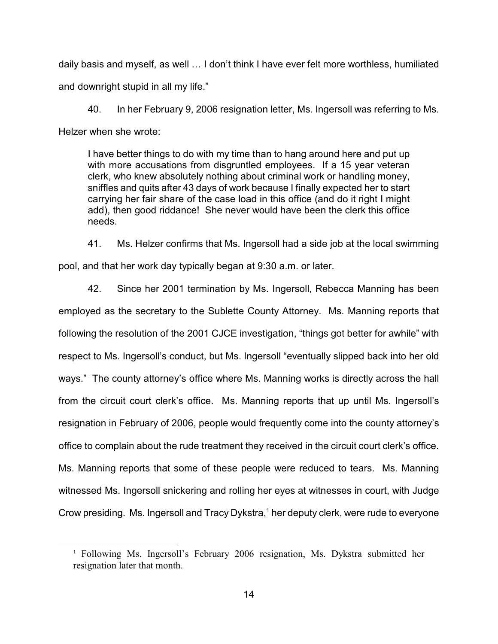daily basis and myself, as well … I don't think I have ever felt more worthless, humiliated and downright stupid in all my life."

40. In her February 9, 2006 resignation letter, Ms. Ingersoll was referring to Ms. Helzer when she wrote:

I have better things to do with my time than to hang around here and put up with more accusations from disgruntled employees. If a 15 year veteran clerk, who knew absolutely nothing about criminal work or handling money, sniffles and quits after 43 days of work because I finally expected her to start carrying her fair share of the case load in this office (and do it right I might add), then good riddance! She never would have been the clerk this office needs.

41. Ms. Helzer confirms that Ms. Ingersoll had a side job at the local swimming pool, and that her work day typically began at 9:30 a.m. or later.

42. Since her 2001 termination by Ms. Ingersoll, Rebecca Manning has been employed as the secretary to the Sublette County Attorney. Ms. Manning reports that following the resolution of the 2001 CJCE investigation, "things got better for awhile" with respect to Ms. Ingersoll's conduct, but Ms. Ingersoll "eventually slipped back into her old ways." The county attorney's office where Ms. Manning works is directly across the hall from the circuit court clerk's office. Ms. Manning reports that up until Ms. Ingersoll's resignation in February of 2006, people would frequently come into the county attorney's office to complain about the rude treatment they received in the circuit court clerk's office. Ms. Manning reports that some of these people were reduced to tears. Ms. Manning witnessed Ms. Ingersoll snickering and rolling her eyes at witnesses in court, with Judge Crow presiding. Ms. Ingersoll and Tracy Dykstra, $<sup>1</sup>$  her deputy clerk, were rude to everyone</sup>

<sup>&</sup>lt;sup>1</sup> Following Ms. Ingersoll's February 2006 resignation, Ms. Dykstra submitted her resignation later that month.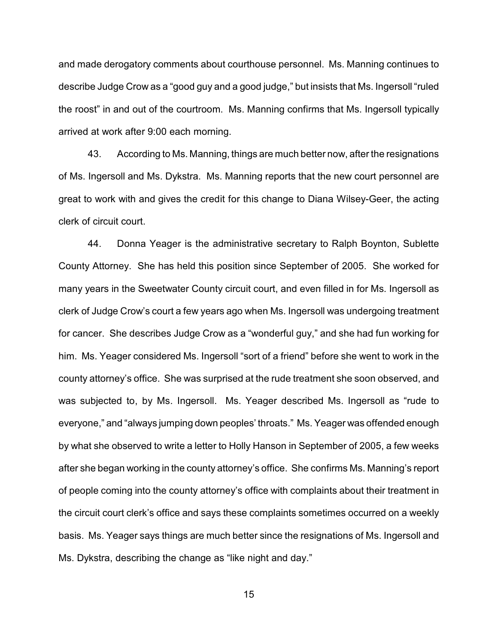and made derogatory comments about courthouse personnel. Ms. Manning continues to describe Judge Crow as a "good guy and a good judge," but insists that Ms. Ingersoll "ruled the roost" in and out of the courtroom. Ms. Manning confirms that Ms. Ingersoll typically arrived at work after 9:00 each morning.

43. According to Ms. Manning, things are much better now, after the resignations of Ms. Ingersoll and Ms. Dykstra. Ms. Manning reports that the new court personnel are great to work with and gives the credit for this change to Diana Wilsey-Geer, the acting clerk of circuit court.

44. Donna Yeager is the administrative secretary to Ralph Boynton, Sublette County Attorney. She has held this position since September of 2005. She worked for many years in the Sweetwater County circuit court, and even filled in for Ms. Ingersoll as clerk of Judge Crow's court a few years ago when Ms. Ingersoll was undergoing treatment for cancer. She describes Judge Crow as a "wonderful guy," and she had fun working for him. Ms. Yeager considered Ms. Ingersoll "sort of a friend" before she went to work in the county attorney's office. She was surprised at the rude treatment she soon observed, and was subjected to, by Ms. Ingersoll. Ms. Yeager described Ms. Ingersoll as "rude to everyone," and "always jumping down peoples' throats." Ms. Yeager was offended enough by what she observed to write a letter to Holly Hanson in September of 2005, a few weeks after she began working in the county attorney's office. She confirms Ms. Manning's report of people coming into the county attorney's office with complaints about their treatment in the circuit court clerk's office and says these complaints sometimes occurred on a weekly basis. Ms. Yeager says things are much better since the resignations of Ms. Ingersoll and Ms. Dykstra, describing the change as "like night and day."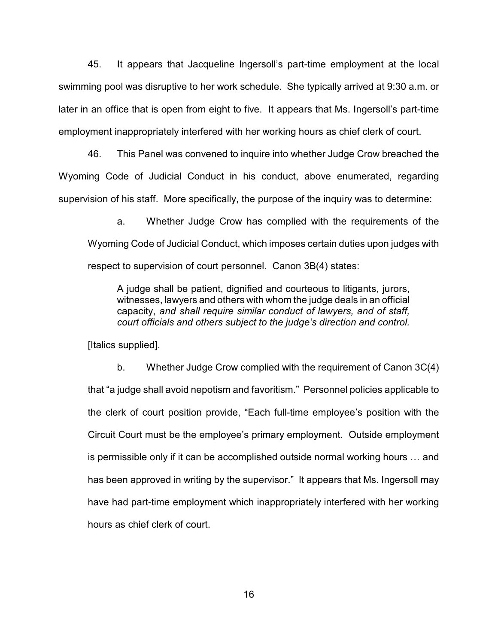45. It appears that Jacqueline Ingersoll's part-time employment at the local swimming pool was disruptive to her work schedule. She typically arrived at 9:30 a.m. or later in an office that is open from eight to five. It appears that Ms. Ingersoll's part-time employment inappropriately interfered with her working hours as chief clerk of court.

46. This Panel was convened to inquire into whether Judge Crow breached the Wyoming Code of Judicial Conduct in his conduct, above enumerated, regarding supervision of his staff. More specifically, the purpose of the inquiry was to determine:

a. Whether Judge Crow has complied with the requirements of the Wyoming Code of Judicial Conduct, which imposes certain duties upon judges with respect to supervision of court personnel. Canon 3B(4) states:

A judge shall be patient, dignified and courteous to litigants, jurors, witnesses, lawyers and others with whom the judge deals in an official capacity, *and shall require similar conduct of lawyers, and of staff, court officials and others subject to the judge's direction and control.*

[Italics supplied].

b. Whether Judge Crow complied with the requirement of Canon 3C(4) that "a judge shall avoid nepotism and favoritism." Personnel policies applicable to the clerk of court position provide, "Each full-time employee's position with the Circuit Court must be the employee's primary employment. Outside employment is permissible only if it can be accomplished outside normal working hours … and has been approved in writing by the supervisor." It appears that Ms. Ingersoll may have had part-time employment which inappropriately interfered with her working hours as chief clerk of court.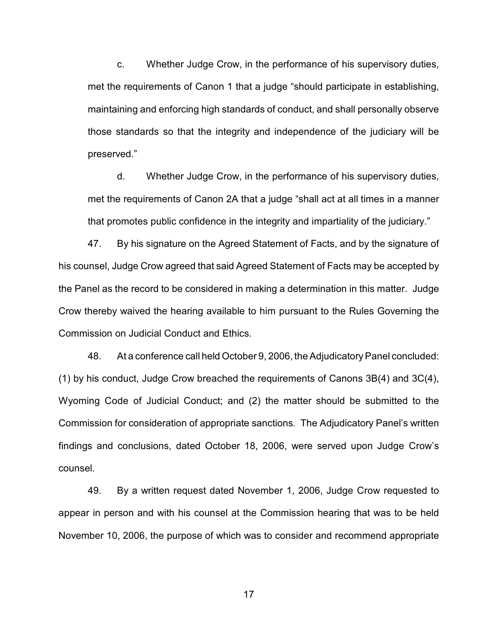c. Whether Judge Crow, in the performance of his supervisory duties, met the requirements of Canon 1 that a judge "should participate in establishing, maintaining and enforcing high standards of conduct, and shall personally observe those standards so that the integrity and independence of the judiciary will be preserved."

d. Whether Judge Crow, in the performance of his supervisory duties, met the requirements of Canon 2A that a judge "shall act at all times in a manner that promotes public confidence in the integrity and impartiality of the judiciary."

47. By his signature on the Agreed Statement of Facts, and by the signature of his counsel, Judge Crow agreed that said Agreed Statement of Facts may be accepted by the Panel as the record to be considered in making a determination in this matter. Judge Crow thereby waived the hearing available to him pursuant to the Rules Governing the Commission on Judicial Conduct and Ethics.

48. At a conference call held October 9, 2006, the AdjudicatoryPanel concluded: (1) by his conduct, Judge Crow breached the requirements of Canons 3B(4) and 3C(4), Wyoming Code of Judicial Conduct; and (2) the matter should be submitted to the Commission for consideration of appropriate sanctions. The Adjudicatory Panel's written findings and conclusions, dated October 18, 2006, were served upon Judge Crow's counsel.

49. By a written request dated November 1, 2006, Judge Crow requested to appear in person and with his counsel at the Commission hearing that was to be held November 10, 2006, the purpose of which was to consider and recommend appropriate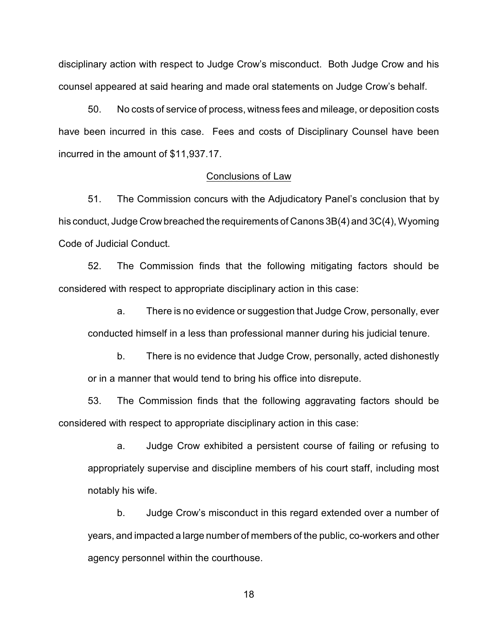disciplinary action with respect to Judge Crow's misconduct. Both Judge Crow and his counsel appeared at said hearing and made oral statements on Judge Crow's behalf.

50. No costs of service of process, witness fees and mileage, or deposition costs have been incurred in this case. Fees and costs of Disciplinary Counsel have been incurred in the amount of \$11,937.17.

#### Conclusions of Law

51. The Commission concurs with the Adjudicatory Panel's conclusion that by his conduct, Judge Crow breached the requirements of Canons 3B(4) and 3C(4), Wyoming Code of Judicial Conduct.

52. The Commission finds that the following mitigating factors should be considered with respect to appropriate disciplinary action in this case:

a. There is no evidence or suggestion that Judge Crow, personally, ever conducted himself in a less than professional manner during his judicial tenure.

b. There is no evidence that Judge Crow, personally, acted dishonestly or in a manner that would tend to bring his office into disrepute.

53. The Commission finds that the following aggravating factors should be considered with respect to appropriate disciplinary action in this case:

a. Judge Crow exhibited a persistent course of failing or refusing to appropriately supervise and discipline members of his court staff, including most notably his wife.

b. Judge Crow's misconduct in this regard extended over a number of years, and impacted a large number of members of the public, co-workers and other agency personnel within the courthouse.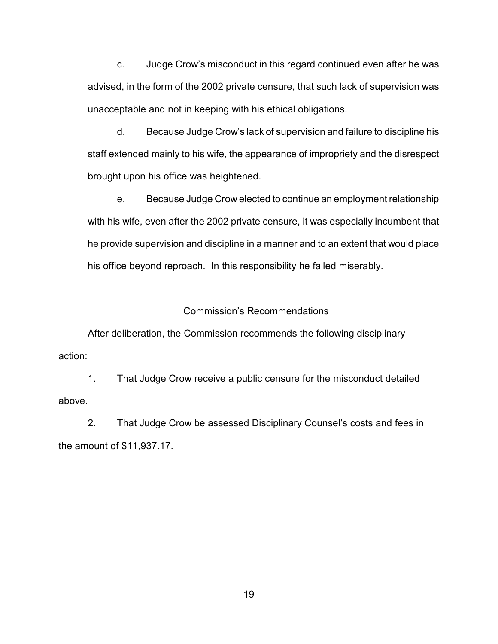c. Judge Crow's misconduct in this regard continued even after he was advised, in the form of the 2002 private censure, that such lack of supervision was unacceptable and not in keeping with his ethical obligations.

d. Because Judge Crow's lack of supervision and failure to discipline his staff extended mainly to his wife, the appearance of impropriety and the disrespect brought upon his office was heightened.

e. Because Judge Crow elected to continue an employment relationship with his wife, even after the 2002 private censure, it was especially incumbent that he provide supervision and discipline in a manner and to an extent that would place his office beyond reproach. In this responsibility he failed miserably.

#### Commission's Recommendations

After deliberation, the Commission recommends the following disciplinary action:

1. That Judge Crow receive a public censure for the misconduct detailed above.

2. That Judge Crow be assessed Disciplinary Counsel's costs and fees in the amount of \$11,937.17.